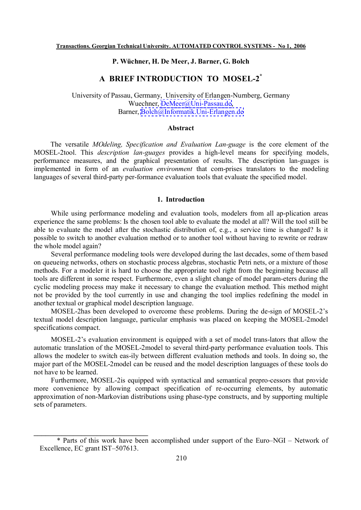# **P. Wüchner, H. De Meer, J. Barner, G. Bolch**

## **A BRIEF INTRODUCTION TO MOSEL-2\***

University of Passau, Germany, University of Erlangen-Nurnberg, Germany Wuechner, [DeMeer@Uni-Passau.de,](mailto:DeMeer@Uni-Passau.de) Barner, [Bolch@Informatik.Uni-Erlangen.de](mailto:Bolch@Informatik.Uni-Erlangen.de)

#### **Abstract**

The versatile *MOdeling, Specification and Evaluation Lan-guage* is the core element of the MOSEL-2tool. This *description lan-guages* provides a high-level means for specifying models, performance measures, and the graphical presentation of results. The description lan-guages is implemented in form of an *evaluation environment* that com-prises translators to the modeling languages of several third-party per-formance evaluation tools that evaluate the specified model.

#### **1. Introduction**

While using performance modeling and evaluation tools, modelers from all ap-plication areas experience the same problems: Is the chosen tool able to evaluate the model at all? Will the tool still be able to evaluate the model after the stochastic distribution of, e.g., a service time is changed? Is it possible to switch to another evaluation method or to another tool without having to rewrite or redraw the whole model again?

Several performance modeling tools were developed during the last decades, some of them based on queueing networks, others on stochastic process algebras, stochastic Petri nets, or a mixture of those methods. For a modeler it is hard to choose the appropriate tool right from the beginning because all tools are different in some respect. Furthermore, even a slight change of model param-eters during the cyclic modeling process may make it necessary to change the evaluation method. This method might not be provided by the tool currently in use and changing the tool implies redefining the model in another textual or graphical model description language.

MOSEL-2has been developed to overcome these problems. During the de-sign of MOSEL-2's textual model description language, particular emphasis was placed on keeping the MOSEL-2model specifications compact.

MOSEL-2's evaluation environment is equipped with a set of model trans-lators that allow the automatic translation of the MOSEL-2model to several third-party performance evaluation tools. This allows the modeler to switch eas-ily between different evaluation methods and tools. In doing so, the major part of the MOSEL-2model can be reused and the model description languages of these tools do not have to be learned.

Furthermore, MOSEL-2is equipped with syntactical and semantical prepro-cessors that provide more convenience by allowing compact specification of re-occurring elements, by automatic approximation of non-Markovian distributions using phase-type constructs, and by supporting multiple sets of parameters.

\_\_\_\_\_\_\_\_\_\_\_\_\_\_\_\_\_\_\_\_\_\_\_\_\_\_\_\_\_

<sup>\*</sup> Parts of this work have been accomplished under support of the Euro–NGI – Network of Excellence, EC grant IST–507613.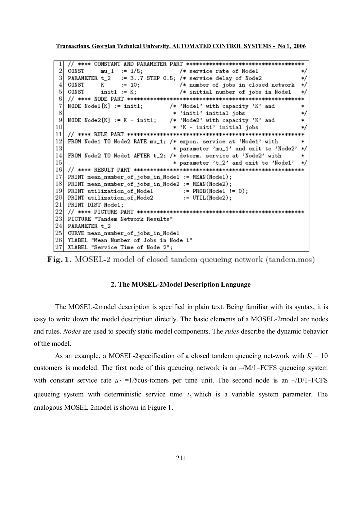**Transactions. Georgian Technical University. AUTOMATED CONTROL SYSTEMS - No 1, 2006**

```
\overline{2}CONST
          mu_1 := 1/5;
                            /* service rate of Node1
                                                        */
               := 3..7 STEP 0.5; /* service delay of Node2
3
  PARAMETER t_2
                                                        */
                            /* number of jobs in closed network
4
  CONST
          К
               := 10;*/
5
  CONST
          init1 := K;/* initial number of jobs in Node1
                                                        */
6
  \overline{7}NODE Node1 [K] := init1; /* 'Node1' with capacity 'K' and
                                                        \ast8
                          * 'init1' initial jobs
                                                        */
9
  NODE Node2[K] := K - init1; /* 'Node2' with capacity 'K' and
                                                        *
10
                          * 'K - init1' initial jobs
                                                        */
11k≭
12
  FROM Node1 TO Node2 RATE mu_1; /* expon. service at 'Node1' with
                                                        *
13
                          * parameter 'mu_1' and exit to 'Node2'
                                                        */
  FROM Node2 TO Node1 AFTER t_2; /* determ. service at 'Node2' with
14
                                                        *
15
                           * parameter 't_2' and exit to 'Node1'
                                                        */
16
  17
  PRINT mean_number_of_jobs_in_Node1 := MEAN(Node1);
18
  PRINT mean_number_of_jobs_in_Node2 := MEAN(Node2);
19
  PRINT utilization_of_Node1 \qquad := PROB(Node1 := 0);20
  PRINT utilization_of_Node2
                             := UTIL(Node2);
  PRINT DIST Node1;
21
22
  23
  PICTURE "Tandem Network Results"
24
  PARAMETER t_2
25
  CURVE mean_number_of_jobs_in_Node1
26 YLABEL "Mean Number of Jobs in Node 1"
27
  XLABEL "Service Time of Node 2";
```


## **2. The MOSEL-2Model Description Language**

The MOSEL-2model description is specified in plain text. Being familiar with its syntax, it is easy to write down the model description directly. The basic elements of a MOSEL-2model are nodes and rules. *Nodes* are used to specify static model components. The *rules* describe the dynamic behavior of the model.

As an example, a MOSEL-2specification of a closed tandem queueing net-work with  $K = 10$ customers is modeled. The first node of this queueing network is an  $-\frac{M}{1}$ –FCFS queueing system with constant service rate  $\mu_I$  =1/5cus-tomers per time unit. The second node is an  $-$ /D/1–FCFS queueing system with deterministic service time  $t_2$  which is a variable system parameter. The analogous MOSEL-2model is shown in Figure 1.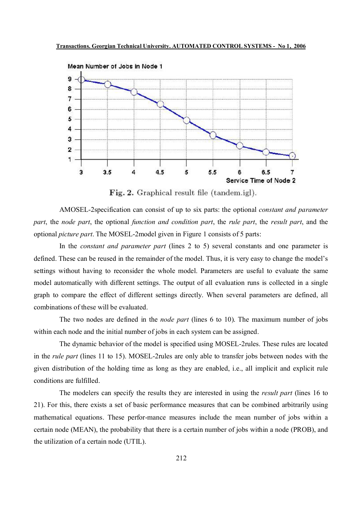

Fig. 2. Graphical result file (tandem.igl).

AMOSEL-2specification can consist of up to six parts: the optional *constant and parameter part*, the *node part*, the optional *function and condition part*, the *rule part*, the *result part*, and the optional *picture part*. The MOSEL-2model given in Figure 1 consists of 5 parts:

In the *constant and parameter part* (lines 2 to 5) several constants and one parameter is defined. These can be reused in the remainder of the model. Thus, it is very easy to change the model's settings without having to reconsider the whole model. Parameters are useful to evaluate the same model automatically with different settings. The output of all evaluation runs is collected in a single graph to compare the effect of different settings directly. When several parameters are defined, all combinations of these will be evaluated.

The two nodes are defined in the *node part* (lines 6 to 10). The maximum number of jobs within each node and the initial number of jobs in each system can be assigned.

The dynamic behavior of the model is specified using MOSEL-2rules. These rules are located in the *rule part* (lines 11 to 15). MOSEL-2rules are only able to transfer jobs between nodes with the given distribution of the holding time as long as they are enabled, i.e., all implicit and explicit rule conditions are fulfilled.

The modelers can specify the results they are interested in using the *result part* (lines 16 to 21). For this, there exists a set of basic performance measures that can be combined arbitrarily using mathematical equations. These perfor-mance measures include the mean number of jobs within a certain node (MEAN), the probability that there is a certain number of jobs within a node (PROB), and the utilization of a certain node (UTIL).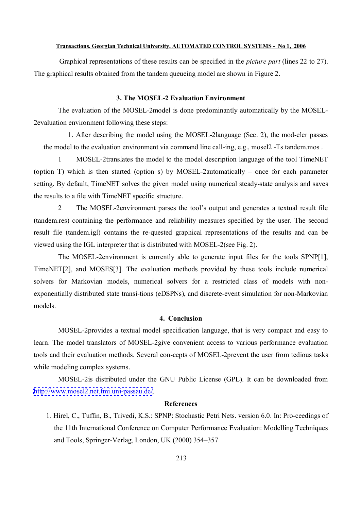#### **Transactions. Georgian Technical University. AUTOMATED CONTROL SYSTEMS - No 1, 2006**

Graphical representations of these results can be specified in the *picture part* (lines 22 to 27). The graphical results obtained from the tandem queueing model are shown in Figure 2.

## **3. The MOSEL-2 Evaluation Environment**

The evaluation of the MOSEL-2model is done predominantly automatically by the MOSEL-2evaluation environment following these steps:

1. After describing the model using the MOSEL-2language (Sec. 2), the mod-eler passes the model to the evaluation environment via command line call-ing, e.g., mosel2 -Ts tandem.mos .

1 MOSEL-2translates the model to the model description language of the tool TimeNET (option T) which is then started (option s) by MOSEL-2automatically – once for each parameter setting. By default, TimeNET solves the given model using numerical steady-state analysis and saves the results to a file with TimeNET specific structure.

2 The MOSEL-2environment parses the tool's output and generates a textual result file (tandem.res) containing the performance and reliability measures specified by the user. The second result file (tandem.igl) contains the re-quested graphical representations of the results and can be viewed using the IGL interpreter that is distributed with MOSEL-2(see Fig. 2).

The MOSEL-2environment is currently able to generate input files for the tools SPNP[1], TimeNET[2], and MOSES[3]. The evaluation methods provided by these tools include numerical solvers for Markovian models, numerical solvers for a restricted class of models with nonexponentially distributed state transi-tions (eDSPNs), and discrete-event simulation for non-Markovian models.

## **4. Conclusion**

MOSEL-2provides a textual model specification language, that is very compact and easy to learn. The model translators of MOSEL-2give convenient access to various performance evaluation tools and their evaluation methods. Several con-cepts of MOSEL-2prevent the user from tedious tasks while modeling complex systems.

MOSEL-2is distributed under the GNU Public License (GPL). It can be downloaded from <http://www.mosel2.net.fmi.uni-passau.de/>.

#### **References**

1. Hirel, C., Tuffin, B., Trivedi, K.S.: SPNP: Stochastic Petri Nets. version 6.0. In: Pro-ceedings of the 11th International Conference on Computer Performance Evaluation: Modelling Techniques and Tools, Springer-Verlag, London, UK (2000) 354–357